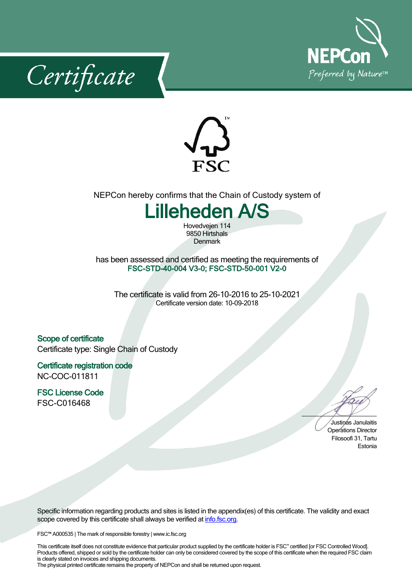





NEPCon hereby confirms that the Chain of Custody system of

## **Lilleheden A/S**

Hovedveien 114 9850 Hirtshals Denmark

has been assessed and certified as meeting the requirements of **FSC-STD-40-004 V3-0; FSC-STD-50-001 V2-0**

The certificate is valid from 26-10-2016 to 25-10-2021 Certificate version date: 10-09-2018

**Scope of certificate** Certificate type: Single Chain of Custody

**Certificate registration code** NC-COC-011811

**FSC License Code** FSC-C016468

Justinas Janulaitis Operations Director Filosoofi 31, Tartu Estonia

Specific information regarding products and sites is listed in the appendix(es) of this certificate. The validity and exact scope covered by this certificate shall always be verified at *[info.fsc.org.](http://info.fsc.org/)* 

FSC™ A000535 | The mark of responsible forestry | www.ic.fsc.org

This certificate itself does not constitute evidence that particular product supplied by the certificate holder is FSC™ certified [or FSC Controlled Wood]. Products offered, shipped or sold by the certificate holder can only be considered covered by the scope of this certificate when the required FSC claim is clearly stated on invoices and shipping documents.

The physical printed certificate remains the property of NEPCon and shall be returned upon request.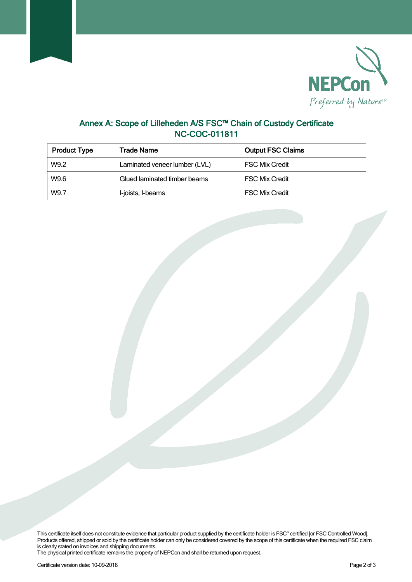

## **Annex A: Scope of Lilleheden A/S FSC™ Chain of Custody Certificate NC-COC-011811**

| <b>Product Type</b> | Trade Name                    | <b>Output FSC Claims</b> |
|---------------------|-------------------------------|--------------------------|
| W9.2                | Laminated veneer lumber (LVL) | <b>FSC Mix Credit</b>    |
| W9.6                | Glued laminated timber beams  | <b>FSC Mix Credit</b>    |
| W9.7                | I-joists, I-beams             | <b>FSC Mix Credit</b>    |

This certificate itself does not constitute evidence that particular product supplied by the certificate holder is FSC™ certified [or FSC Controlled Wood]. Products offered, shipped or sold by the certificate holder can only be considered covered by the scope of this certificate when the required FSC claim is clearly stated on invoices and shipping documents.

The physical printed certificate remains the property of NEPCon and shall be returned upon request.